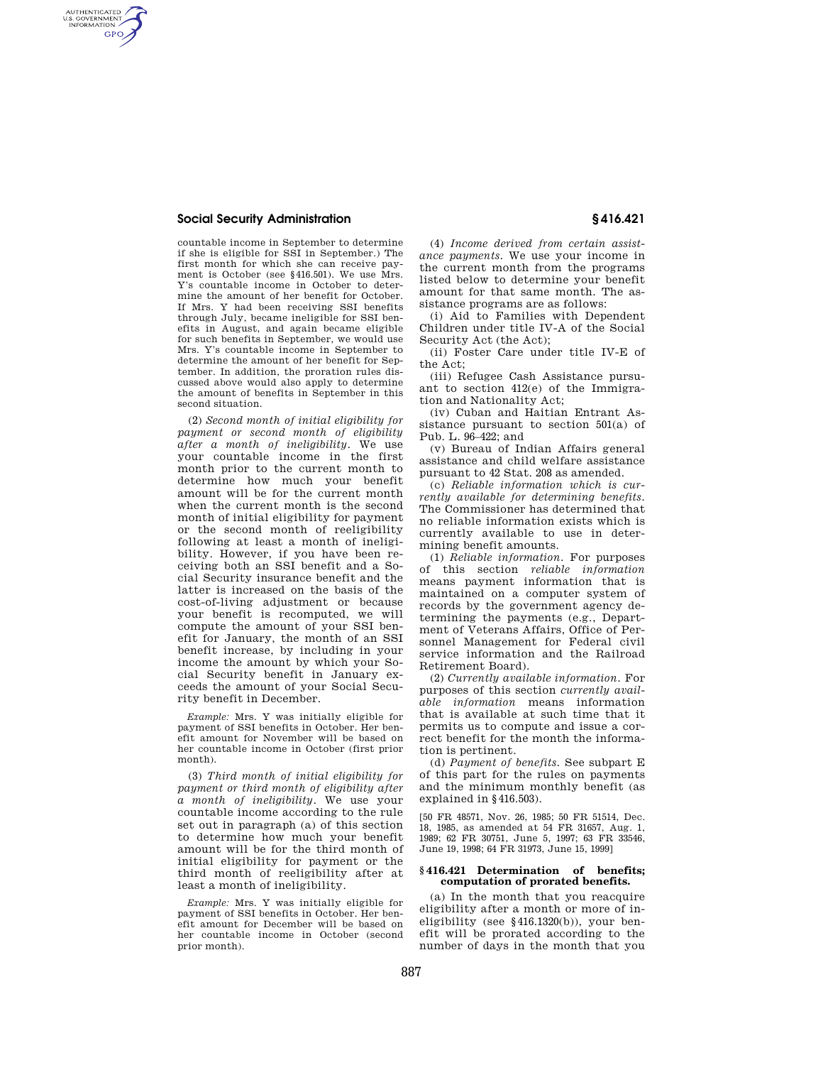## **Social Security Administration § 416.421**

AUTHENTICATED<br>U.S. GOVERNMENT<br>INFORMATION **GPO** 

> countable income in September to determine if she is eligible for SSI in September.) The first month for which she can receive payment is October (see §416.501). We use Mrs. Y's countable income in October to determine the amount of her benefit for October. If Mrs. Y had been receiving SSI benefits through July, became ineligible for SSI benefits in August, and again became eligible for such benefits in September, we would use Mrs. Y's countable income in September to determine the amount of her benefit for September. In addition, the proration rules discussed above would also apply to determine the amount of benefits in September in this second situation.

> (2) *Second month of initial eligibility for payment or second month of eligibility after a month of ineligibility.* We use your countable income in the first month prior to the current month to determine how much your benefit amount will be for the current month when the current month is the second month of initial eligibility for payment or the second month of reeligibility following at least a month of ineligibility. However, if you have been receiving both an SSI benefit and a Social Security insurance benefit and the latter is increased on the basis of the cost-of-living adjustment or because your benefit is recomputed, we will compute the amount of your SSI benefit for January, the month of an SSI benefit increase, by including in your income the amount by which your Social Security benefit in January exceeds the amount of your Social Security benefit in December.

> *Example:* Mrs. Y was initially eligible for payment of SSI benefits in October. Her benefit amount for November will be based on her countable income in October (first prior month).

> (3) *Third month of initial eligibility for payment or third month of eligibility after a month of ineligibility.* We use your countable income according to the rule set out in paragraph (a) of this section to determine how much your benefit amount will be for the third month of initial eligibility for payment or the third month of reeligibility after at least a month of ineligibility.

> *Example:* Mrs. Y was initially eligible for payment of SSI benefits in October. Her benefit amount for December will be based on her countable income in October (second prior month).

(4) *Income derived from certain assistance payments.* We use your income in the current month from the programs listed below to determine your benefit amount for that same month. The assistance programs are as follows:

(i) Aid to Families with Dependent Children under title IV-A of the Social Security Act (the Act);

(ii) Foster Care under title IV-E of the Act;

(iii) Refugee Cash Assistance pursuant to section 412(e) of the Immigration and Nationality Act;

(iv) Cuban and Haitian Entrant Assistance pursuant to section 501(a) of Pub. L. 96–422; and

(v) Bureau of Indian Affairs general assistance and child welfare assistance pursuant to 42 Stat. 208 as amended.

(c) *Reliable information which is currently available for determining benefits.*  The Commissioner has determined that no reliable information exists which is currently available to use in determining benefit amounts.

(1) *Reliable information.* For purposes of this section *reliable information*  means payment information that is maintained on a computer system of records by the government agency determining the payments (e.g., Department of Veterans Affairs, Office of Personnel Management for Federal civil service information and the Railroad Retirement Board).

(2) *Currently available information.* For purposes of this section *currently available information* means information that is available at such time that it permits us to compute and issue a correct benefit for the month the information is pertinent.

(d) *Payment of benefits.* See subpart E of this part for the rules on payments and the minimum monthly benefit (as explained in §416.503).

[50 FR 48571, Nov. 26, 1985; 50 FR 51514, Dec. 18, 1985, as amended at 54 FR 31657, Aug. 1, 1989; 62 FR 30751, June 5, 1997; 63 FR 33546, June 19, 1998; 64 FR 31973, June 15, 1999]

## **§ 416.421 Determination of benefits; computation of prorated benefits.**

(a) In the month that you reacquire eligibility after a month or more of ineligibility (see §416.1320(b)), your benefit will be prorated according to the number of days in the month that you